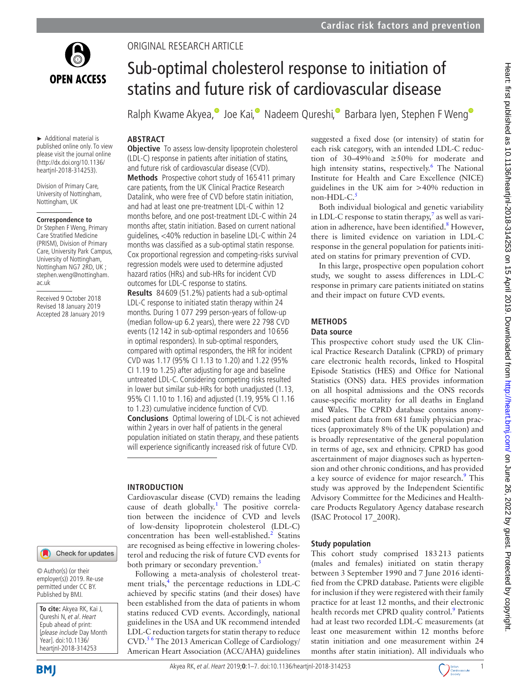

► Additional material is published online only. To view please visit the journal online (http://dx.doi.org/10.1136/ heartjnl-2018-314253).

Division of Primary Care, University of Nottingham, Nottingham, UK

## **Correspondence to**

Dr Stephen F Weng, Primary Care Stratified Medicine (PRISM), Division of Primary Care, University Park Campus, University of Nottingham, Nottingham NG7 2RD, UK ; stephen.weng@nottingham. ac.uk

Received 9 October 2018 Revised 18 January 2019 Accepted 28 January 2019

## Check for updates

© Author(s) (or their employer(s)) 2019. Re-use permitted under CC BY. Published by BMJ.

**To cite:** Akyea RK, Kai J, Qureshi N, et al. Heart Epub ahead of print: [please include Day Month Year]. doi:10.1136/ heartjnl-2018-314253

# Original research article

# Sub-optimal cholesterol response to initiation of statins and future risk of cardiovascular disease

Ralph Kwame Akyea[,](http://orcid.org/0000-0003-4909-0644) Joe Kai, Nadeem Qureshi, Barbara Iyen, Stephen F Weng

# **Abstract**

**Objective** To assess low-density lipoprotein cholesterol (LDL-C) response in patients after initiation of statins, and future risk of cardiovascular disease (CVD).

**Methods** Prospective cohort study of 165 411 primary care patients, from the UK Clinical Practice Research Datalink, who were free of CVD before statin initiation, and had at least one pre-treatment LDL-C within 12 months before, and one post-treatment LDL-C within 24 months after, statin initiation. Based on current national guidelines, <40% reduction in baseline LDL-C within 24 months was classified as a sub-optimal statin response. Cox proportional regression and competing-risks survival regression models were used to determine adjusted hazard ratios (HRs) and sub-HRs for incident CVD outcomes for LDL-C response to statins.

**Results** 84 609 (51.2%) patients had a sub-optimal LDL-C response to initiated statin therapy within 24 months. During 1 077 299 person-years of follow-up (median follow-up 6.2 years), there were 22 798 CVD events (12 142 in sub-optimal responders and 10 656 in optimal responders). In sub-optimal responders, compared with optimal responders, the HR for incident CVD was 1.17 (95% CI 1.13 to 1.20) and 1.22 (95% CI 1.19 to 1.25) after adjusting for age and baseline untreated LDL-C. Considering competing risks resulted in lower but similar sub-HRs for both unadjusted (1.13, 95% CI 1.10 to 1.16) and adjusted (1.19, 95% CI 1.16 to 1.23) cumulative incidence function of CVD. **Conclusions** Optimal lowering of LDL-C is not achieved within 2 years in over half of patients in the general population initiated on statin therapy, and these patients will experience significantly increased risk of future CVD.

## **Introduction**

Cardiovascular disease (CVD) remains the leading cause of death globally.<sup>1</sup> The positive correlation between the incidence of CVD and levels of low-density lipoprotein cholesterol (LDL-C) concentration has been well-established. $2$  Statins are recognised as being effective in lowering cholesterol and reducing the risk of future CVD events for both primary or secondary prevention.<sup>[3](#page-5-2)</sup>

Following a meta-analysis of cholesterol treatment trials, $\frac{4}{3}$  $\frac{4}{3}$  $\frac{4}{3}$  the percentage reductions in LDL-C achieved by specific statins (and their doses) have been established from the data of patients in whom statins reduced CVD events. Accordingly, national guidelines in the USA and UK recommend intended LDL-C reduction targets for statin therapy to reduce CVD.<sup>56</sup> The 2013 American College of Cardiology/ American Heart Association (ACC/AHA) guidelines

suggested a fixed dose (or intensity) of statin for each risk category, with an intended LDL-C reduction of 30–49%and ≥50% for moderate and high intensity statins, respectively.<sup>6</sup> The National Institute for Health and Care Excellence (NICE) guidelines in the UK aim for >40% reduction in non-HDL- $C<sub>5</sub>$  $C<sub>5</sub>$  $C<sub>5</sub>$ 

Both individual biological and genetic variability in LDL-C response to statin therapy, $\frac{7}{3}$  as well as variation in adherence, have been identified.<sup>8</sup> However, there is limited evidence on variation in LDL-C response in the general population for patients initiated on statins for primary prevention of CVD.

In this large, prospective open population cohort study, we sought to assess differences in LDL-C response in primary care patients initiated on statins and their impact on future CVD events.

# **Methods**

#### **Data source**

This prospective cohort study used the UK Clinical Practice Research Datalink (CPRD) of primary care electronic health records, linked to Hospital Episode Statistics (HES) and Office for National Statistics (ONS) data. HES provides information on all hospital admissions and the ONS records cause-specific mortality for all deaths in England and Wales. The CPRD database contains anonymised patient data from 681 family physician practices (approximately 8% of the UK population) and is broadly representative of the general population in terms of age, sex and ethnicity. CPRD has good ascertainment of major diagnoses such as hypertension and other chronic conditions, and has provided a key source of evidence for major research.<sup>[9](#page-6-0)</sup> This study was approved by the Independent Scientific Advisory Committee for the Medicines and Healthcare Products Regulatory Agency database research (ISAC Protocol 17\_200R).

## **Study population**

This cohort study comprised 183213 patients (males and females) initiated on statin therapy between 3 September 1990 and 7 June 2016 identified from the CPRD database. Patients were eligible for inclusion if they were registered with their family practice for at least 12 months, and their electronic health records met CPRD quality control.<sup>[9](#page-6-0)</sup> Patients had at least two recorded LDL-C measurements (at least one measurement within 12 months before statin initiation and one measurement within 24 months after statin initiation). All individuals who



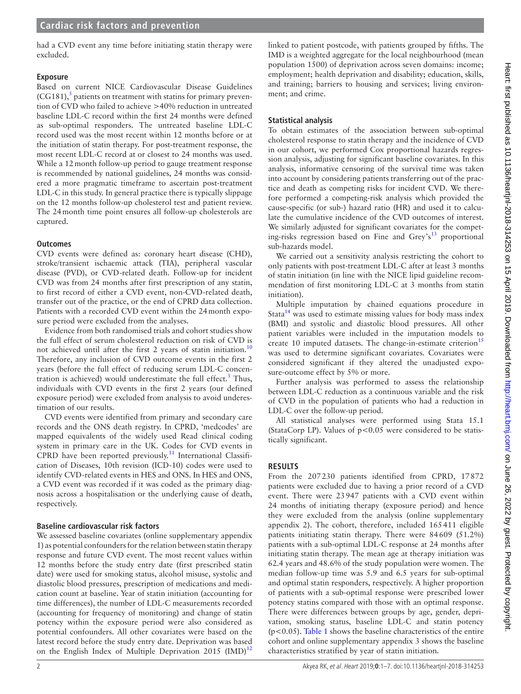had a CVD event any time before initiating statin therapy were excluded.

# **Exposure**

Based on current NICE Cardiovascular Disease Guidelines  $(CG181)$ ,<sup>[5](#page-5-4)</sup> patients on treatment with statins for primary prevention of CVD who failed to achieve >40% reduction in untreated baseline LDL-C record within the first 24 months were defined as sub-optimal responders. The untreated baseline LDL-C record used was the most recent within 12 months before or at the initiation of statin therapy. For post-treatment response, the most recent LDL-C record at or closest to 24 months was used. While a 12month follow-up period to gauge treatment response is recommended by national guidelines, 24 months was considered a more pragmatic timeframe to ascertain post-treatment LDL-C in this study. In general practice there is typically slippage on the 12 months follow-up cholesterol test and patient review. The 24month time point ensures all follow-up cholesterols are captured.

# **Outcomes**

CVD events were defined as: coronary heart disease (CHD), stroke/transient ischaemic attack (TIA), peripheral vascular disease (PVD), or CVD-related death. Follow-up for incident CVD was from 24 months after first prescription of any statin, to first record of either a CVD event, non-CVD-related death, transfer out of the practice, or the end of CPRD data collection. Patients with a recorded CVD event within the 24month exposure period were excluded from the analyses.

Evidence from both randomised trials and cohort studies show the full effect of serum cholesterol reduction on risk of CVD is not achieved until after the first 2 years of statin initiation.<sup>[10](#page-6-1)</sup> Therefore, any inclusion of CVD outcome events in the first 2 years (before the full effect of reducing serum LDL-C concentration is achieved) would underestimate the full effect.<sup>3</sup> Thus, individuals with CVD events in the first 2 years (our defined exposure period) were excluded from analysis to avoid underestimation of our results.

CVD events were identified from primary and secondary care records and the ONS death registry. In CPRD, 'medcodes' are mapped equivalents of the widely used Read clinical coding system in primary care in the UK. Codes for CVD events in CPRD have been reported previously.<sup>11</sup> International Classification of Diseases, 10th revision (ICD-10) codes were used to identify CVD-related events in HES and ONS. In HES and ONS, a CVD event was recorded if it was coded as the primary diagnosis across a hospitalisation or the underlying cause of death, respectively.

# **Baseline cardiovascular risk factors**

We assessed baseline covariates (online [supplementary appendix](https://dx.doi.org/10.1136/heartjnl-2018-314253)  [1](https://dx.doi.org/10.1136/heartjnl-2018-314253)) as potential confounders for the relation between statin therapy response and future CVD event. The most recent values within 12 months before the study entry date (first prescribed statin date) were used for smoking status, alcohol misuse, systolic and diastolic blood pressures, prescription of medications and medication count at baseline. Year of statin initiation (accounting for time differences), the number of LDL-C measurements recorded (accounting for frequency of monitoring) and change of statin potency within the exposure period were also considered as potential confounders. All other covariates were based on the latest record before the study entry date. Deprivation was based on the English Index of Multiple Deprivation 2015 (IMD)<sup>[12](#page-6-3)</sup>

linked to patient postcode, with patients grouped by fifths. The IMD is a weighted aggregate for the local neighbourhood (mean population 1500) of deprivation across seven domains: income; employment; health deprivation and disability; education, skills, and training; barriers to housing and services; living environment; and crime.

# **Statistical analysis**

To obtain estimates of the association between sub-optimal cholesterol response to statin therapy and the incidence of CVD in our cohort, we performed Cox proportional hazards regression analysis, adjusting for significant baseline covariates. In this analysis, informative censoring of the survival time was taken into account by considering patients transferring out of the practice and death as competing risks for incident CVD. We therefore performed a competing-risk analysis which provided the cause-specific (or sub-) hazard ratio (HR) and used it to calculate the cumulative incidence of the CVD outcomes of interest. We similarly adjusted for significant covariates for the competing-risks regression based on Fine and Grey's<sup>13</sup> proportional sub-hazards model.

We carried out a sensitivity analysis restricting the cohort to only patients with post-treatment LDL-C after at least 3 months of statin initiation (in line with the NICE lipid guideline recommendation of first monitoring LDL-C at 3 months from statin initiation).

Multiple imputation by chained equations procedure in Stata $14$  was used to estimate missing values for body mass index (BMI) and systolic and diastolic blood pressures. All other patient variables were included in the imputation models to create 10 imputed datasets. The change-in-estimate criterion<sup>[15](#page-6-6)</sup> was used to determine significant covariates. Covariates were considered significant if they altered the unadjusted exposure-outcome effect by 5% or more.

Further analysis was performed to assess the relationship between LDL-C reduction as a continuous variable and the risk of CVD in the population of patients who had a reduction in LDL-C over the follow-up period.

All statistical analyses were performed using Stata 15.1 (StataCorp LP). Values of  $p < 0.05$  were considered to be statistically significant.

# **Results**

From the 207230 patients identified from CPRD, 17872 patients were excluded due to having a prior record of a CVD event. There were 23947 patients with a CVD event within 24 months of initiating therapy (exposure period) and hence they were excluded from the analysis (online [supplementary](https://dx.doi.org/10.1136/heartjnl-2018-314253) [appendix 2](https://dx.doi.org/10.1136/heartjnl-2018-314253)). The cohort, therefore, included 165411 eligible patients initiating statin therapy. There were 84609 (51.2%) patients with a sub-optimal LDL-C response at 24 months after initiating statin therapy. The mean age at therapy initiation was 62.4 years and 48.6% of the study population were women. The median follow-up time was 5.9 and 6.5 years for sub-optimal and optimal statin responders, respectively. A higher proportion of patients with a sub-optimal response were prescribed lower potency statins compared with those with an optimal response. There were differences between groups by age, gender, deprivation, smoking status, baseline LDL-C and statin potency  $(p<0.05)$ . [Table](#page-2-0) 1 shows the baseline characteristics of the entire cohort and online [supplementary appendix 3](https://dx.doi.org/10.1136/heartjnl-2018-314253) shows the baseline characteristics stratified by year of statin initiation.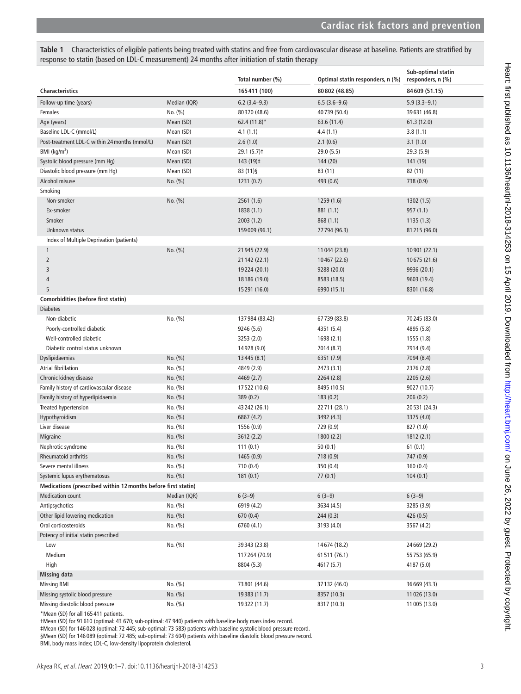<span id="page-2-0"></span>**Table 1** Characteristics of eligible patients being treated with statins and free from cardiovascular disease at baseline. Patients are stratified by response to statin (based on LDL-C measurement) 24 months after initiation of statin therapy

|                                                               |              | Total number (%)         | Optimal statin responders, n (%) | Sub-optimal statin<br>responders, n (%) |  |
|---------------------------------------------------------------|--------------|--------------------------|----------------------------------|-----------------------------------------|--|
| <b>Characteristics</b>                                        |              | 165411 (100)             | 80802 (48.85)                    | 84609 (51.15)                           |  |
| Follow-up time (years)                                        | Median (IQR) | $6.2$ (3.4-9.3)          | $6.5(3.6-9.6)$                   | $5.9(3.3 - 9.1)$                        |  |
| Females                                                       | No. (%)      | 80370 (48.6)             | 40739 (50.4)                     | 39631 (46.8)                            |  |
| Age (years)                                                   | Mean (SD)    | $62.4(11.8)$ *           | 63.6 (11.4)                      | 61.3 (12.0)                             |  |
| Baseline LDL-C (mmol/L)                                       | Mean (SD)    | 4.1(1.1)                 | 4.4(1.1)                         | 3.8(1.1)                                |  |
| Post-treatment LDL-C within 24 months (mmol/L)                | Mean (SD)    | 2.6(1.0)                 | 2.1(0.6)                         | 3.1(1.0)                                |  |
| BMI ( $\text{kg/m}^2$ )                                       | Mean (SD)    | $29.1(5.7)$ <sup>+</sup> | 29.0 (5.5)                       | 29.3(5.9)                               |  |
| Systolic blood pressure (mm Hg)                               | Mean (SD)    | 143 (19)‡                | 144 (20)                         | 141 (19)                                |  |
| Diastolic blood pressure (mm Hg)                              | Mean (SD)    | $83(11)\$                | 83 (11)                          | 82 (11)                                 |  |
| Alcohol misuse                                                | No. (%)      | 1231(0.7)                | 493 (0.6)                        | 738 (0.9)                               |  |
| Smoking                                                       |              |                          |                                  |                                         |  |
| Non-smoker                                                    | No. (%)      | 2561 (1.6)               | 1259 (1.6)                       | 1302 (1.5)                              |  |
| Ex-smoker                                                     |              | 1838(1.1)                | 881 (1.1)                        | 957(1.1)                                |  |
| Smoker                                                        |              | 2003(1.2)                | 868 (1.1)                        | 1135(1.3)                               |  |
| Unknown status                                                |              | 159 009 (96.1)           | 77 794 (96.3)                    | 81 215 (96.0)                           |  |
| Index of Multiple Deprivation (patients)                      |              |                          |                                  |                                         |  |
| 1                                                             | No. (%)      | 21 945 (22.9)            | 11 044 (23.8)                    | 10901 (22.1)                            |  |
| $\overline{2}$                                                |              | 21 142 (22.1)            | 10467 (22.6)                     | 10675 (21.6)                            |  |
| 3                                                             |              | 19224 (20.1)             | 9288 (20.0)                      | 9936 (20.1)                             |  |
| 4                                                             |              | 18186 (19.0)             | 8583 (18.5)                      | 9603 (19.4)                             |  |
| 5                                                             |              | 15291 (16.0)             | 6990 (15.1)                      | 8301 (16.8)                             |  |
| Comorbidities (before first statin)                           |              |                          |                                  |                                         |  |
| <b>Diabetes</b>                                               |              |                          |                                  |                                         |  |
| Non-diabetic                                                  | No. (%)      | 137984 (83.42)           | 67739 (83.8)                     | 70245 (83.0)                            |  |
| Poorly-controlled diabetic                                    |              | 9246 (5.6)               | 4351 (5.4)                       | 4895 (5.8)                              |  |
| Well-controlled diabetic                                      |              | 3253 (2.0)               | 1698 (2.1)                       | 1555 (1.8)                              |  |
| Diabetic control status unknown                               |              | 14928 (9.0)              | 7014 (8.7)                       | 7914 (9.4)                              |  |
| Dyslipidaemias                                                | No. (%)      | 13 4 45 (8.1)            | 6351 (7.9)                       | 7094 (8.4)                              |  |
| Atrial fibrillation                                           | No. (%)      | 4849 (2.9)               | 2473 (3.1)                       | 2376 (2.8)                              |  |
| Chronic kidney disease                                        | No. (%)      | 4469 (2.7)               | 2264 (2.8)                       | 2205 (2.6)                              |  |
| Family history of cardiovascular disease                      | No. (%)      | 17522 (10.6)             | 8495 (10.5)                      | 9027 (10.7)                             |  |
| Family history of hyperlipidaemia                             | No. (%)      | 389 (0.2)                | 183(0.2)                         | 206(0.2)                                |  |
| <b>Treated hypertension</b>                                   | No. (%)      | 43 242 (26.1)            | 22 711 (28.1)                    | 20531 (24.3)                            |  |
| Hypothyroidism                                                | No. (%)      | 6867 (4.2)               | 3492 (4.3)                       | 3375 (4.0)                              |  |
| Liver disease                                                 | No. (%)      | 1556 (0.9)               | 729 (0.9)                        | 827 (1.0)                               |  |
| Migraine                                                      | No. (%)      | 3612 (2.2)               | 1800 (2.2)                       | 1812 (2.1)                              |  |
| Nephrotic syndrome                                            | No. (%)      | 111(0.1)                 | 50(0.1)                          | 61(0.1)                                 |  |
| <b>Rheumatoid arthritis</b>                                   | No. (%)      | 1465 (0.9)               | 718 (0.9)                        | 747 (0.9)                               |  |
| Severe mental illness                                         | No. (%)      | 710 (0.4)                | 350 (0.4)                        | 360 (0.4)                               |  |
| Systemic lupus erythematosus                                  | No. (%)      | 181(0.1)                 | 77(0.1)                          | 104(0.1)                                |  |
| Medications (prescribed within 12 months before first statin) |              |                          |                                  |                                         |  |
| <b>Medication count</b>                                       | Median (IQR) | $6(3-9)$                 | $6(3-9)$                         | $6(3-9)$                                |  |
| Antipsychotics                                                | No. (%)      | 6919 (4.2)               | 3634 (4.5)                       | 3285 (3.9)                              |  |
| Other lipid lowering medication                               | No. (%)      | 670 (0.4)                | 244 (0.3)                        | 426 (0.5)                               |  |
| Oral corticosteroids                                          | No. (%)      | 6760 (4.1)               | 3193 (4.0)                       | 3567 (4.2)                              |  |
| Potency of initial statin prescribed                          |              |                          |                                  |                                         |  |
| Low                                                           | No. (%)      | 39343 (23.8)             | 14674 (18.2)                     | 24669 (29.2)                            |  |
| Medium                                                        |              | 117264 (70.9)            | 61511 (76.1)                     | 55 753 (65.9)                           |  |
| High                                                          |              | 8804 (5.3)               | 4617 (5.7)                       | 4187 (5.0)                              |  |
| <b>Missing data</b>                                           |              |                          |                                  |                                         |  |
| <b>Missing BMI</b>                                            | No. (%)      | 73 801 (44.6)            | 37132 (46.0)                     | 36669 (43.3)                            |  |
| Missing systolic blood pressure                               | No. (%)      | 19383 (11.7)             | 8357 (10.3)                      | 11 026 (13.0)                           |  |
| Missing diastolic blood pressure                              | No. (%)      | 19322 (11.7)             | 8317 (10.3)                      | 11 005 (13.0)                           |  |

\*Mean (SD) for all 165 411 patients.

†Mean (SD) for 91 610 (optimal: 43 670; sub-optimal: 47 940) patients with baseline body mass index record.

‡Mean (SD) for 146 028 (optimal: 72 445; sub-optimal: 73 583) patients with baseline systolic blood pressure record.

§Mean (SD) for 146 089 (optimal: 72 485; sub-optimal: 73 604) patients with baseline diastolic blood pressure record.

BMI, body mass index; LDL-C, low-density lipoprotein cholesterol.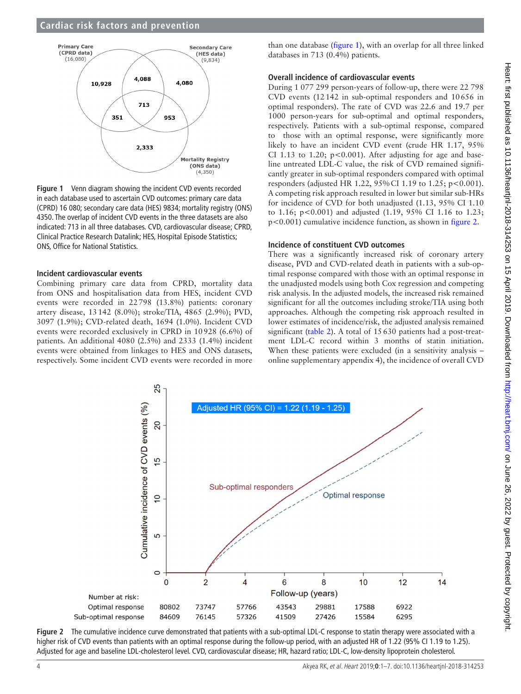# **Cardiac risk factors and prevention**



<span id="page-3-0"></span>**Figure 1** Venn diagram showing the incident CVD events recorded in each database used to ascertain CVD outcomes: primary care data (CPRD) 16 080; secondary care data (HES) 9834; mortality registry (ONS) 4350. The overlap of incident CVD events in the three datasets are also indicated: 713 in all three databases. CVD, cardiovascular disease; CPRD, Clinical Practice Research Datalink; HES, Hospital Episode Statistics; ONS, Office for National Statistics.

#### **Incident cardiovascular events**

Combining primary care data from CPRD, mortality data from ONS and hospitalisation data from HES, incident CVD events were recorded in 22798 (13.8%) patients: coronary artery disease, 13142 (8.0%); stroke/TIA, 4865 (2.9%); PVD, 3097 (1.9%); CVD-related death, 1694 (1.0%). Incident CVD events were recorded exclusively in CPRD in 10928 (6.6%) of patients. An additional 4080 (2.5%) and 2333 (1.4%) incident events were obtained from linkages to HES and ONS datasets, respectively. Some incident CVD events were recorded in more

than one database [\(figure](#page-3-0) 1), with an overlap for all three linked databases in 713 (0.4%) patients.

# **Overall incidence of cardiovascular events**

During 1 077 299 person-years of follow-up, there were 22 798 CVD events (12142 in sub-optimal responders and 10656 in optimal responders). The rate of CVD was 22.6 and 19.7 per 1000 person-years for sub-optimal and optimal responders, respectively. Patients with a sub-optimal response, compared to those with an optimal response, were significantly more likely to have an incident CVD event (crude HR 1.17, 95% CI 1.13 to 1.20;  $p < 0.001$ ). After adjusting for age and baseline untreated LDL-C value, the risk of CVD remained significantly greater in sub-optimal responders compared with optimal responders (adjusted HR 1.22, 95%CI 1.19 to 1.25; p<0.001). A competing risk approach resulted in lower but similar sub-HRs for incidence of CVD for both unadjusted (1.13, 95% CI 1.10 to 1.16; p<0.001) and adjusted (1.19, 95% CI 1.16 to 1.23; p<0.001) cumulative incidence function, as shown in [figure](#page-3-1) 2.

#### **Incidence of constituent CVD outcomes**

There was a significantly increased risk of coronary artery disease, PVD and CVD-related death in patients with a sub-optimal response compared with those with an optimal response in the unadjusted models using both Cox regression and competing risk analysis. In the adjusted models, the increased risk remained significant for all the outcomes including stroke/TIA using both approaches. Although the competing risk approach resulted in lower estimates of incidence/risk, the adjusted analysis remained significant [\(table](#page-4-0) 2). A total of 15630 patients had a post-treatment LDL-C record within 3 months of statin initiation. When these patients were excluded (in a sensitivity analysis – online [supplementary appendix 4\)](https://dx.doi.org/10.1136/heartjnl-2018-314253), the incidence of overall CVD



<span id="page-3-1"></span>**Figure 2** The cumulative incidence curve demonstrated that patients with a sub-optimal LDL-C response to statin therapy were associated with a higher risk of CVD events than patients with an optimal response during the follow-up period, with an adjusted HR of 1.22 (95% CI 1.19 to 1.25). Adjusted for age and baseline LDL-cholesterol level. CVD, cardiovascular disease; HR, hazard ratio; LDL-C, low-density lipoprotein cholesterol.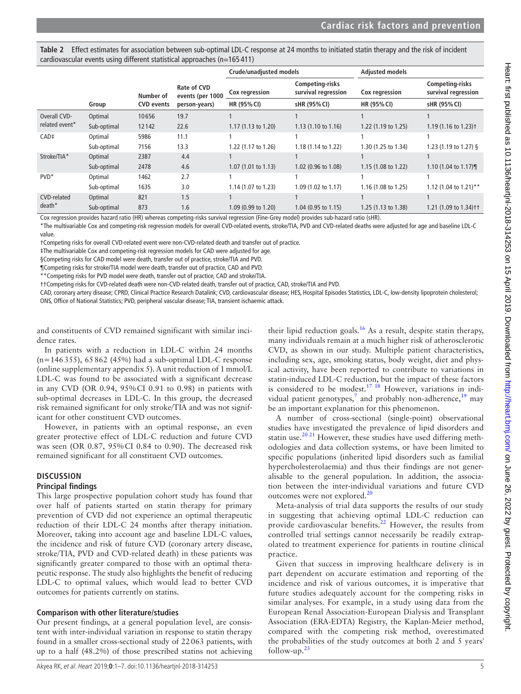<span id="page-4-0"></span>

| Table 2 Effect estimates for association between sub-optimal LDL-C response at 24 months to initiated statin therapy and the risk of incident |
|-----------------------------------------------------------------------------------------------------------------------------------------------|
| cardiovascular events using different statistical approaches $(n=165411)$                                                                     |

|                                |             |                                |                                                  | <b>Crude/unadjusted models</b> |                                               | <b>Adjusted models</b> |                                               |
|--------------------------------|-------------|--------------------------------|--------------------------------------------------|--------------------------------|-----------------------------------------------|------------------------|-----------------------------------------------|
|                                | Group       | Number of<br><b>CVD</b> events | Rate of CVD<br>events (per 1000<br>person-years) | Cox regression                 | <b>Competing-risks</b><br>survival regression | Cox regression         | <b>Competing-risks</b><br>survival regression |
|                                |             |                                |                                                  | HR (95% CI)                    | sHR (95% CI)                                  | HR (95% CI)            | sHR (95% CI)                                  |
| Overall CVD-<br>related event* | Optimal     | 10656                          | 19.7                                             |                                |                                               |                        |                                               |
|                                | Sub-optimal | 12142                          | 22.6                                             | $1.17(1.13 \text{ to } 1.20)$  | $1.13(1.10 \text{ to } 1.16)$                 | 1.22 (1.19 to 1.25)    | 1.19 $(1.16 \text{ to } 1.23)$ <sup>+</sup>   |
| CAD <sup>‡</sup>               | Optimal     | 5986                           | 11.1                                             |                                |                                               |                        |                                               |
|                                | Sub-optimal | 7156                           | 13.3                                             | 1.22 (1.17 to 1.26)            | 1.18 (1.14 to 1.22)                           | 1.30 (1.25 to 1.34)    | 1.23 (1.19 to 1.27) §                         |
| Stroke/TIA*                    | Optimal     | 2387                           | 4.4                                              |                                |                                               |                        |                                               |
|                                | Sub-optimal | 2478                           | 4.6                                              | 1.07(1.01 to 1.13)             | 1.02 (0.96 to 1.08)                           | 1.15 (1.08 to 1.22)    | 1.10 $(1.04 \text{ to } 1.17)$                |
| $PVD^*$                        | Optimal     | 1462                           | 2.7                                              |                                |                                               |                        |                                               |
|                                | Sub-optimal | 1635                           | 3.0                                              | 1.14 (1.07 to 1.23)            | 1.09 (1.02 to 1.17)                           | 1.16 (1.08 to 1.25)    | 1.12 (1.04 to 1.21)**                         |
| CVD-related<br>death*          | Optimal     | 821                            | 1.5                                              |                                |                                               |                        |                                               |
|                                | Sub-optimal | 873                            | 1.6                                              | 1.09 (0.99 to 1.20)            | $1.04$ (0.95 to 1.15)                         | 1.25 (1.13 to 1.38)    | 1.21 (1.09 to 1.34) † †                       |

Cox regression provides hazard ratio (HR) whereas competing-risks survival regression (Fine-Grey model) provides sub-hazard ratio (sHR).

\*The multivariable Cox and competing-risk regression models for overall CVD-related events, stroke/TIA, PVD and CVD-related deaths were adjusted for age and baseline LDL-C value.

†Competing risks for overall CVD-related event were non-CVD-related death and transfer out of practice.

‡The multivariable Cox and competing-risk regression models for CAD were adjusted for age.

§Competing risks for CAD model were death, transfer out of practice, stroke/TIA and PVD.

¶Competing risks for stroke/TIA model were death, transfer out of practice, CAD and PVD.

\*\*Competing risks for PVD model were death, transfer out of practice, CAD and stroke/TIA.

††Competing risks for CVD-related death were non-CVD-related death, transfer out of practice, CAD, stroke/TIA and PVD.

CAD, coronary artery disease; CPRD, Clinical Practice Research Datalink; CVD, cardiovascular disease; HES, Hospital Episodes Statistics, LDL-C, low-density lipoprotein cholesterol; ONS, Office of National Statistics; PVD, peripheral vascular disease; TIA, transient ischaemic attack.

and constituents of CVD remained significant with similar incidence rates.

In patients with a reduction in LDL-C within 24 months (n=146355), 65862 (45%) had a sub-optimal LDL-C response (online [supplementary appendix 5\)](https://dx.doi.org/10.1136/heartjnl-2018-314253). A unit reduction of 1 mmol/L LDL-C was found to be associated with a significant decrease in any CVD (OR 0.94, 95%CI 0.91 to 0.98) in patients with sub-optimal decreases in LDL-C. In this group, the decreased risk remained significant for only stroke/TIA and was not significant for other constituent CVD outcomes.

However, in patients with an optimal response, an even greater protective effect of LDL-C reduction and future CVD was seen (OR 0.87, 95%CI 0.84 to 0.90). The decreased risk remained significant for all constituent CVD outcomes.

# **Discussion**

## **Principal findings**

This large prospective population cohort study has found that over half of patients started on statin therapy for primary prevention of CVD did not experience an optimal therapeutic reduction of their LDL-C 24 months after therapy initiation. Moreover, taking into account age and baseline LDL-C values, the incidence and risk of future CVD (coronary artery disease, stroke/TIA, PVD and CVD-related death) in these patients was significantly greater compared to those with an optimal therapeutic response. The study also highlights the benefit of reducing LDL-C to optimal values, which would lead to better CVD outcomes for patients currently on statins.

# **Comparison with other literature/studies**

Our present findings, at a general population level, are consistent with inter-individual variation in response to statin therapy found in a smaller cross-sectional study of 22063 patients, with up to a half (48.2%) of those prescribed statins not achieving

odologies and data collection systems, or have been limited to specific populations (inherited lipid disorders such as familial hypercholesterolaemia) and thus their findings are not generalisable to the general population. In addition, the association between the inter-individual variations and future CVD outcomes were not explored.<sup>20</sup> Meta-analysis of trial data supports the results of our study

be an important explanation for this phenomenon.

in suggesting that achieving optimal LDL-C reduction can provide cardiovascular benefits.<sup>22</sup> However, the results from controlled trial settings cannot necessarily be readily extrapolated to treatment experience for patients in routine clinical practice.

their lipid reduction goals.<sup>16</sup> As a result, despite statin therapy, many individuals remain at a much higher risk of atherosclerotic CVD, as shown in our study. Multiple patient characteristics, including sex, age, smoking status, body weight, diet and physical activity, have been reported to contribute to variations in statin-induced LDL-C reduction, but the impact of these factors is considered to be modest.<sup>17</sup> <sup>18</sup> However, variations in indi-vidual patient genotypes,<sup>[7](#page-5-6)</sup> and probably non-adherence,<sup>19</sup> may

A number of cross-sectional (single-point) observational studies have investigated the prevalence of lipid disorders and statin use.<sup>20 21</sup> However, these studies have used differing meth-

Given that success in improving healthcare delivery is in part dependent on accurate estimation and reporting of the incidence and risk of various outcomes, it is imperative that future studies adequately account for the competing risks in similar analyses. For example, in a study using data from the European Renal Association-European Dialysis and Transplant Association (ERA-EDTA) Registry, the Kaplan-Meier method, compared with the competing risk method, overestimated the probabilities of the study outcomes at both 2 and 5 years' follow-up. $^{23}$  $^{23}$  $^{23}$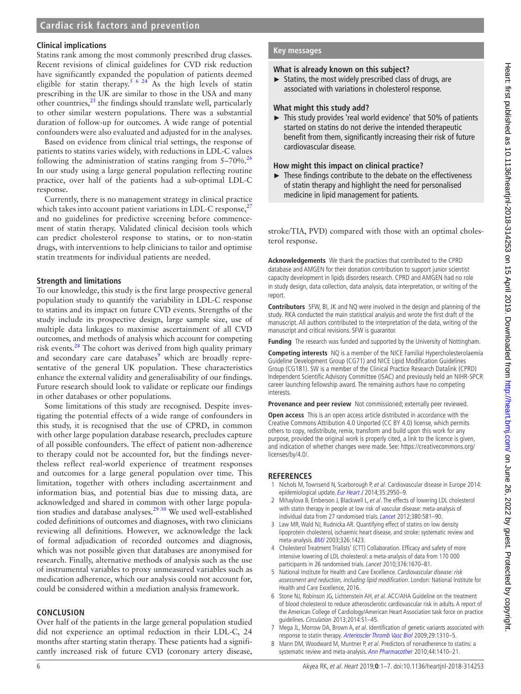# **Cardiac risk factors and prevention**

#### **Clinical implications**

Statins rank among the most commonly prescribed drug classes. Recent revisions of clinical guidelines for CVD risk reduction have significantly expanded the population of patients deemed eligible for statin therapy.<sup>5 6 24</sup> As the high levels of statin prescribing in the UK are similar to those in the USA and many other countries, $25$  the findings should translate well, particularly to other similar western populations. There was a substantial duration of follow-up for outcomes. A wide range of potential confounders were also evaluated and adjusted for in the analyses.

Based on evidence from clinical trial settings, the response of patients to statins varies widely, with reductions in LDL-C values following the administration of statins ranging from  $5-70\%$ .<sup>[26](#page-6-14)</sup> In our study using a large general population reflecting routine practice, over half of the patients had a sub-optimal LDL-C response.

Currently, there is no management strategy in clinical practice which takes into account patient variations in LDL-C response,  $27$ and no guidelines for predictive screening before commencement of statin therapy. Validated clinical decision tools which can predict cholesterol response to statins, or to non-statin drugs, with interventions to help clinicians to tailor and optimise statin treatments for individual patients are needed.

#### **Strength and limitations**

To our knowledge, this study is the first large prospective general population study to quantify the variability in LDL-C response to statins and its impact on future CVD events. Strengths of the study include its prospective design, large sample size, use of multiple data linkages to maximise ascertainment of all CVD outcomes, and methods of analysis which account for competing risk events.<sup>28</sup> The cohort was derived from high quality primary and secondary care care databases<sup>9</sup> which are broadly representative of the general UK population. These characteristics enhance the external validity and generalisability of our findings. Future research should look to validate or replicate our findings in other databases or other populations.

Some limitations of this study are recognised. Despite investigating the potential effects of a wide range of confounders in this study, it is recognised that the use of CPRD, in common with other large population database research, precludes capture of all possible confounders. The effect of patient non-adherence to therapy could not be accounted for, but the findings nevertheless reflect real-world experience of treatment responses and outcomes for a large general population over time. This limitation, together with others including ascertainment and information bias, and potential bias due to missing data, are acknowledged and shared in common with other large population studies and database analyses[.29 30](#page-6-17) We used well-established coded definitions of outcomes and diagnoses, with two clinicians reviewing all definitions. However, we acknowledge the lack of formal adjudication of recorded outcomes and diagnosis, which was not possible given that databases are anonymised for research. Finally, alternative methods of analysis such as the use of instrumental variables to proxy unmeasured variables such as medication adherence, which our analysis could not account for, could be considered within a mediation analysis framework.

## **Conclusion**

Over half of the patients in the large general population studied did not experience an optimal reduction in their LDL-C, 24 months after starting statin therapy. These patients had a significantly increased risk of future CVD (coronary artery disease,

#### **Key messages**

# **What is already known on this subject?**

► Statins, the most widely prescribed class of drugs, are associated with variations in cholesterol response.

#### **What might this study add?**

► This study provides 'real world evidence' that 50% of patients started on statins do not derive the intended therapeutic benefit from them, significantly increasing their risk of future cardiovascular disease.

#### **How might this impact on clinical practice?**

► These findings contribute to the debate on the effectiveness of statin therapy and highlight the need for personalised medicine in lipid management for patients.

stroke/TIA, PVD) compared with those with an optimal cholesterol response.

**Acknowledgements** We thank the practices that contributed to the CPRD database and AMGEN for their donation contribution to support junior scientist capacity development in lipids disorders research. CPRD and AMGEN had no role in study design, data collection, data analysis, data interpretation, or writing of the report.

**Contributors** SFW, BI, JK and NQ were involved in the design and planning of the study. RKA conducted the main statistical analysis and wrote the first draft of the manuscript. All authors contributed to the interpretation of the data, writing of the manuscript and critical revisions. SFW is guarantor.

**Funding** The research was funded and supported by the University of Nottingham.

**Competing interests** NQ is a member of the NICE Familial Hypercholesterolaemia Guideline Development Group (CG71) and NICE Lipid Modification Guidelines Group (CG181). SW is a member of the Clinical Practice Research Datalink (CPRD) Independent Scientific Advisory Committee (ISAC) and previously held an NIHR-SPCR career launching fellowship award. The remaining authors have no competing interests.

**Provenance and peer review** Not commissioned; externally peer reviewed.

**Open access** This is an open access article distributed in accordance with the Creative Commons Attribution 4.0 Unported (CC BY 4.0) license, which permits others to copy, redistribute, remix, transform and build upon this work for any purpose, provided the original work is properly cited, a link to the licence is given, and indication of whether changes were made. See: [https://creativecommons.org/](https://creativecommons.org/licenses/by/4.0/) [licenses/by/4.0/.](https://creativecommons.org/licenses/by/4.0/)

#### **References**

- <span id="page-5-0"></span>1 Nichols M, Townsend N, Scarborough P, et al. Cardiovascular disease in Europe 2014: epidemiological update. [Eur Heart J](http://dx.doi.org/10.1093/eurheartj/ehu299) 2014;35:2950-9.
- <span id="page-5-1"></span>2 Mihaylova B, Emberson J, Blackwell L, et al. The effects of lowering LDL cholesterol with statin therapy in people at low risk of vascular disease: meta-analysis of individual data from 27 randomised trials. [Lancet](http://dx.doi.org/10.1016/S0140-6736(12)60367-5) 2012;380:581–90.
- <span id="page-5-2"></span>3 Law MR, Wald NJ, Rudnicka AR. Quantifying effect of statins on low density lipoprotein cholesterol, ischaemic heart disease, and stroke: systematic review and meta-analysis. [BMJ](http://dx.doi.org/10.1136/bmj.326.7404.1423) 2003;326:1423.
- <span id="page-5-3"></span>4 Cholesterol Treatment Trialists' (CTT) Collaboration. Efficacy and safety of more intensive lowering of LDL cholesterol: a meta-analysis of data from 170 000 participants in 26 randomised trials. Lancet 2010;376:1670–81.
- <span id="page-5-4"></span>5 National Institute for Health and Care Excellence. Cardiovascular disease: risk assessment and reduction, including lipid modification. London: National Institute for Health and Care Excellence, 2016.
- <span id="page-5-5"></span>6 Stone NJ, Robinson JG, Lichtenstein AH, et al. ACC /AHA Guideline on the treatment of blood cholesterol to reduce atherosclerotic cardiovascular risk in adults. A report of the American College of Cardiology/American Heart Association task force on practice guidelines. Circulation 2013;2014:S1–45.
- <span id="page-5-6"></span>7 Mega JL, Morrow DA, Brown A, et al. Identification of genetic variants associated with response to statin therapy. [Arterioscler Thromb Vasc Biol](http://dx.doi.org/10.1161/ATVBAHA.109.188474) 2009;29:1310–5.
- <span id="page-5-7"></span>8 Mann DM, Woodward M, Muntner P, et al. Predictors of nonadherence to statins: a systematic review and meta-analysis. [Ann Pharmacother](http://dx.doi.org/10.1345/aph.1P150) 2010;44:1410-21.